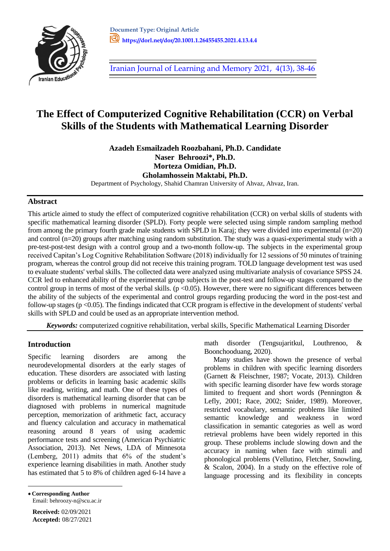

[Iranian Journal of Learning and Memory 2021, 4\(13\), 38-46](http://journal.iepa.ir/article_136018.html)

# **The Effect of Computerized Cognitive Rehabilitation (CCR) on Verbal Skills of the Students with Mathematical Learning Disorder**

**Azadeh Esmailzadeh Roozbahani, Ph.D. Candidate Naser Behroozi\*, Ph.D. Morteza Omidian, Ph.D. Gholamhossein Maktabi, Ph.D.** Department of Psychology, Shahid Chamran University of Ahvaz, Ahvaz, Iran.

## **Abstract**

This article aimed to study the effect of computerized cognitive rehabilitation (CCR) on verbal skills of students with specific mathematical learning disorder (SPLD). Forty people were selected using simple random sampling method from among the primary fourth grade male students with SPLD in Karaj; they were divided into experimental (n=20) and control (n=20) groups after matching using random substitution. The study was a quasi-experimental study with a pre-test-post-test design with a control group and a two-month follow-up. The subjects in the experimental group received Capitan's Log Cognitive Rehabilitation Software (2018) individually for 12 sessions of 50 minutes of training program, whereas the control group did not receive this training program. TOLD language development test was used to evaluate students' verbal skills. The collected data were analyzed using multivariate analysis of covariance SPSS 24. CCR led to enhanced ability of the experimental group subjects in the post-test and follow-up stages compared to the control group in terms of most of the verbal skills.  $(p < 0.05)$ . However, there were no significant differences between the ability of the subjects of the experimental and control groups regarding producing the word in the post-test and follow-up stages ( $p < 0.05$ ). The findings indicated that CCR program is effective in the development of students' verbal skills with SPLD and could be used as an appropriate intervention method.

*Keywords:* computerized cognitive rehabilitation, verbal skills, Specific Mathematical Learning Disorder

# **Introduction**

Specific learning disorders are among the neurodevelopmental disorders at the early stages of education. These disorders are associated with lasting problems or deficits in learning basic academic skills like reading, writing, and math. One of these types of disorders is mathematical learning disorder that can be diagnosed with problems in numerical magnitude perception, memorization of arithmetic fact, accuracy and fluency calculation and accuracy in mathematical reasoning around 8 years of using academic performance tests and screening (American Psychiatric Association, 2013). Net News, LDA of Minnesota (Lemberg, 2011) admits that 6% of the student's experience learning disabilities in math. Another study has estimated that 5 to 8% of children aged 6-14 have a math disorder (Tengsujaritkul, Louthrenoo, & Boonchooduang, 2020).

Many studies have shown the presence of verbal problems in children with specific learning disorders (Garnett & Fleischner, 1987; Vocate, 2013). Children with specific learning disorder have few words storage limited to frequent and short words (Pennington & Lefly, 2001; Race, 2002; Snider, 1989). Moreover, restricted vocabulary, semantic problems like limited semantic knowledge and weakness in word classification in semantic categories as well as word retrieval problems have been widely reported in this group. These problems include slowing down and the accuracy in naming when face with stimuli and phonological problems (Vellutino, Fletcher, Snowling, & Scalon, 2004). In a study on the effective role of language processing and its flexibility in concepts

 **Corresponding Author**  Email: behroozy-n@scu.ac.ir

 $\overline{a}$ 

**Received:** 02/09/2021 **Accepted:** 08/27/2021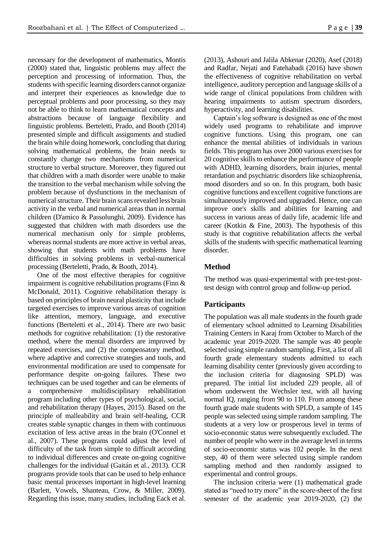necessary for the development of mathematics, Montis (2000) stated that, linguistic problems may affect the perception and processing of information. Thus, the students with specific learning disorders cannot organize and interpret their experiences as knowledge due to perceptual problems and poor processing, so they may not be able to think to learn mathematical concepts and abstractions because of language flexibility and linguistic problems. Berteletti, Prado, and Booth (2014) presented simple and difficult assignments and studied the brain while doing homework, concluding that during solving mathematical problems, the brain needs to constantly change two mechanisms from numerical structure to verbal structure. Moreover, they figured out that children with a math disorder were unable to make the transition to the verbal mechanism while solving the problem because of dysfunctions in the mechanism of numerical structure. Their brain scans revealed less brain activity in the verbal and numerical areas than in normal children (D'amico & Passolunghi, 2009). Evidence has suggested that children with math disorders use the numerical mechanism only for simple problems, whereas normal students are more active in verbal areas, showing that students with math problems have difficulties in solving problems in verbal-numerical processing (Berteletti, Prado, & Booth, 2014).

One of the most effective therapies for cognitive impairment is cognitive rehabilitation programs (Finn & McDonald, 2011). Cognitive rehabilitation therapy is based on principles of brain neural plasticity that include targeted exercises to improve various areas of cognition like attention, memory, language, and executive functions (Berteletti et al., 2014). There are two basic methods for cognitive rehabilitation: (1) the restorative method, where the mental disorders are improved by repeated exercises, and (2) the compensatory method, where adaptive and corrective strategies and tools, and environmental modification are used to compensate for performance despite on-going failures. These two techniques can be used together and can be elements of a comprehensive multidisciplinary rehabilitation program including other types of psychological, social, and rehabilitation therapy (Hayes, 2015). Based on the principle of malleability and brain self-healing, CCR creates stable synaptic changes in them with continuous excitation of less active areas in the brain (O'Connel et al., 2007). These programs could adjust the level of difficulty of the task from simple to difficult according to individual differences and create on-going cognitive challenges for the individual (Gaitán et al., 2013). CCR programs provide tools that can be used to help enhance basic mental processes important in high-level learning (Barlett, Vowels, Shanteau, Crow, & Miller, 2009). Regarding this issue, many studies, including Eack et al.

(2013), Ashouri and Jalila Abkenar (2020), Asef (2018) and Radfar, Nejati and Fatehabadi (2016) have shown the effectiveness of cognitive rehabilitation on verbal intelligence, auditory perception and language skills of a wide range of clinical populations from children with hearing impairments to autism spectrum disorders, hyperactivity, and learning disabilities.

Captain's log software is designed as one of the most widely used programs to rehabilitate and improve cognitive functions. Using this program, one can enhance the mental abilities of individuals in various fields. This program has over 2000 various exercises for 20 cognitive skills to enhance the performance of people with ADHD, learning disorders, brain injuries, mental retardation and psychiatric disorders like schizophrenia, mood disorders and so on. In this program, both basic cognitive functions and excellent cognitive functions are simultaneously improved and upgraded. Hence, one can improve one's skills and abilities for learning and success in various areas of daily life, academic life and career (Kotkin & Fine, 2003). The hypothesis of this study is that cognitive rehabilitation affects the verbal skills of the students with specific mathematical learning disorder.

#### **Method**

The method was quasi-experimental with pre-test-posttest design with control group and follow-up period.

## **Participants**

The population was all male students in the fourth grade of elementary school admitted to Learning Disabilities Training Centers in Karaj from October to March of the academic year 2019-2020. The sample was 40 people selected using simple random sampling. First, a list of all fourth grade elementary students admitted to each learning disability center (previously given according to the inclusion criteria for diagnosing SPLD) was prepared. The initial list included 229 people, all of whom underwent the Wechsler test, with all having normal IQ, ranging from 90 to 110. From among these fourth grade male students with SPLD, a sample of 145 people was selected using simple random sampling. The students at a very low or prosperous level in terms of socio-economic status were subsequently excluded. The number of people who were in the average level in terms of socio-economic status was 102 people. In the next step, 40 of them were selected using simple random sampling method and then randomly assigned to experimental and control groups.

The inclusion criteria were (1) mathematical grade stated as "need to try more" in the score-sheet of the first semester of the academic year 2019-2020, (2) the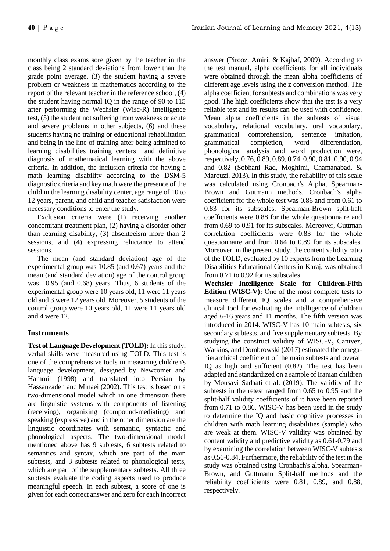monthly class exams sore given by the teacher in the class being 2 standard deviations from lower than the grade point average, (3) the student having a severe problem or weakness in mathematics according to the report of the relevant teacher in the reference school, (4) the student having normal IQ in the range of 90 to 115 after performing the Wechsler (Wisc-R) intelligence test, (5) the student not suffering from weakness or acute and severe problems in other subjects, (6) and these students having no training or educational rehabilitation and being in the line of training after being admitted to learning disabilities training centers and definitive diagnosis of mathematical learning with the above criteria. In addition, the inclusion criteria for having a math learning disability according to the DSM-5 diagnostic criteria and key math were the presence of the child in the learning disability center, age range of 10 to 12 years, parent, and child and teacher satisfaction were necessary conditions to enter the study.

Exclusion criteria were (1) receiving another concomitant treatment plan, (2) having a disorder other than learning disability, (3) absenteeism more than 2 sessions, and (4) expressing reluctance to attend sessions.

The mean (and standard deviation) age of the experimental group was 10.85 (and 0.67) years and the mean (and standard deviation) age of the control group was 10.95 (and 0.68) years. Thus, 6 students of the experimental group were 10 years old, 11 were 11 years old and 3 were 12 years old. Moreover, 5 students of the control group were 10 years old, 11 were 11 years old and 4 were 12.

# **Instruments**

**Test of Language Development (TOLD):** In this study, verbal skills were measured using TOLD. This test is one of the comprehensive tools in measuring children's language development, designed by Newcomer and Hammil (1998) and translated into Persian by Hassanzadeh and Minaei (2002). This test is based on a two-dimensional model which in one dimension there are linguistic systems with components of listening (receiving), organizing (compound-mediating) and speaking (expressive) and in the other dimension are the linguistic coordinates with semantic, syntactic and phonological aspects. The two-dimensional model mentioned above has 9 subtests, 6 subtests related to semantics and syntax, which are part of the main subtests, and 3 subtests related to phonological tests, which are part of the supplementary subtests. All three subtests evaluate the coding aspects used to produce meaningful speech. In each subtest, a score of one is given for each correct answer and zero for each incorrect answer (Pirooz, Amiri, & Kajbaf, 2009). According to the test manual, alpha coefficients for all individuals were obtained through the mean alpha coefficients of different age levels using the z conversion method. The alpha coefficient for subtests and combinations was very good. The high coefficients show that the test is a very reliable test and its results can be used with confidence. Mean alpha coefficients in the subtests of visual vocabulary, relational vocabulary, oral vocabulary, grammatical comprehension, sentence imitation, grammatical completion, word differentiation, phonological analysis and word production were, respectively, 0.76, 0.89, 0.89, 0.74, 0.90, 0.81, 0.90, 0.94 and 0.82 (Sobhani Rad, Moghimi, Chamanabad, & Marouzi, 2013). In this study, the reliability of this scale was calculated using Cronbach's Alpha, Spearman-Brown and Gutmann methods. Cronbach's alpha coefficient for the whole test was 0.86 and from 0.61 to 0.83 for its subscales. Spearman-Brown split-half coefficients were 0.88 for the whole questionnaire and from 0.69 to 0.91 for its subscales. Moreover, Guttman correlation coefficients were 0.83 for the whole questionnaire and from 0.64 to 0.89 for its subscales. Moreover, in the present study, the content validity ratio of the TOLD, evaluated by 10 experts from the Learning Disabilities Educational Centers in Karaj, was obtained from 0.71 to 0.92 for its subscales.

**Wechsler Intelligence Scale for Children-Fifth Edition (WISC-V):** One of the most complete tests to measure different IQ scales and a comprehensive clinical tool for evaluating the intelligence of children aged 6-16 years and 11 months. The fifth version was introduced in 2014. WISC-V has 10 main subtests, six secondary subtests, and five supplementary subtests. By studying the construct validity of WISC-V**,** Canivez, Watkins, and Dombrowski (2017) estimated the omegahierarchical coefficient of the main subtests and overall IQ as high and sufficient (0.82). The test has been adapted and standardized on a sample of Iranian children by Mousavi Sadaati et al. (2019). The validity of the subtests in the retest ranged from 0.65 to 0.95 and the split-half validity coefficients of it have been reported from 0.71 to 0.86. WISC-V has been used in the study to determine the IQ and basic cognitive processes in children with math learning disabilities (sample) who are weak at them. WISC-V validity was obtained by content validity and predictive validity as 0.61-0.79 and by examining the correlation between WISC-V subtests as 0.56-0.84. Furthermore, the reliability of the test in the study was obtained using Cronbach's alpha, Spearman-Brown, and Guttmann Split-half methods and the reliability coefficients were 0.81, 0.89, and 0.88, respectively.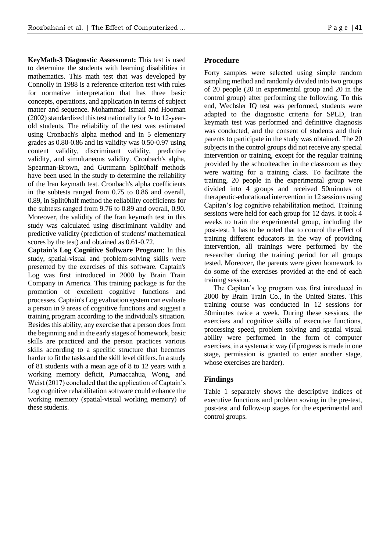**KeyMath-3 Diagnostic Assessment:** This test is used to determine the students with learning disabilities in mathematics. This math test that was developed by Connolly in 1988 is a reference criterion test with rules for normative interpretation that has three basic concepts, operations, and application in terms of subject matter and sequence. Mohammad Ismail and Hooman (2002) standardized this test nationally for 9- to 12-yearold students. The reliability of the test was estimated using Cronbach's alpha method and in 5 elementary grades as 0.80-0.86 and its validity was 0.50-0.97 using content validity, discriminant validity, predictive validity, and simultaneous validity. Cronbach's alpha, Spearman-Brown, and Guttmann Split0half methods have been used in the study to determine the reliability of the Iran keymath test. Cronbach's alpha coefficients in the subtests ranged from 0.75 to 0.86 and overall, 0.89, in Split0half method the reliability coefficients for the subtests ranged from 9.76 to 0.89 and overall, 0.90. Moreover, the validity of the Iran keymath test in this study was calculated using discriminant validity and predictive validity (prediction of students' mathematical scores by the test) and obtained as 0.61-0.72.

**Captain's Log Cognitive Software Program**: In this study, spatial-visual and problem-solving skills were presented by the exercises of this software. Captain's Log was first introduced in 2000 by Brain Train Company in America. This training package is for the promotion of excellent cognitive functions and processes. Captain's Log evaluation system can evaluate a person in 9 areas of cognitive functions and suggest a training program according to the individual's situation. Besides this ability, any exercise that a person does from the beginning and in the early stages of homework, basic skills are practiced and the person practices various skills according to a specific structure that becomes harder to fit the tasks and the skill level differs. In a study of 81 students with a mean age of 8 to 12 years with a working memory deficit, Pumaccahua, Wong, and Weist (2017) concluded that the application of Captain's Log cognitive rehabilitation software could enhance the working memory (spatial-visual working memory) of these students.

#### **Procedure**

Forty samples were selected using simple random sampling method and randomly divided into two groups of 20 people (20 in experimental group and 20 in the control group) after performing the following. To this end, Wechsler IQ test was performed, students were adapted to the diagnostic criteria for SPLD, Iran keymath test was performed and definitive diagnosis was conducted, and the consent of students and their parents to participate in the study was obtained. The 20 subjects in the control groups did not receive any special intervention or training, except for the regular training provided by the schoolteacher in the classroom as they were waiting for a training class. To facilitate the training, 20 people in the experimental group were divided into 4 groups and received 50minutes of therapeutic-educational intervention in 12 sessions using Capitan's log cognitive rehabilitation method. Training sessions were held for each group for 12 days. It took 4 weeks to train the experimental group, including the post-test. It has to be noted that to control the effect of training different educators in the way of providing intervention, all trainings were performed by the researcher during the training period for all groups tested. Moreover, the parents were given homework to do some of the exercises provided at the end of each training session.

The Capitan's log program was first introduced in 2000 by Brain Train Co., in the United States. This training course was conducted in 12 sessions for 50minutes twice a week. During these sessions, the exercises and cognitive skills of executive functions, processing speed, problem solving and spatial visual ability were performed in the form of computer exercises, in a systematic way (if progress is made in one stage, permission is granted to enter another stage, whose exercises are harder).

#### **Findings**

Table 1 separately shows the descriptive indices of executive functions and problem soving in the pre-test, post-test and follow-up stages for the experimental and control groups.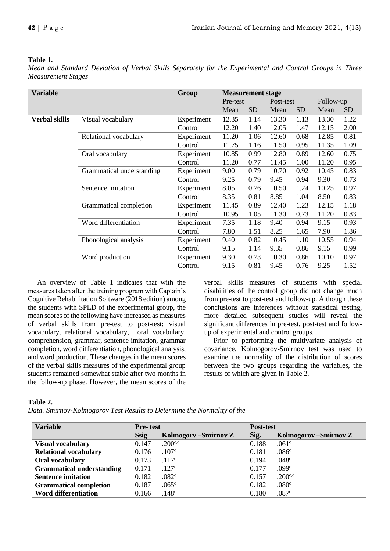#### **Table 1.**

*Mean and Standard Deviation of Verbal Skills Separately for the Experimental and Control Groups in Three Measurement Stages*

| <b>Variable</b><br>Group |                           |            | <b>Measurement stage</b> |           |           |           |           |           |  |
|--------------------------|---------------------------|------------|--------------------------|-----------|-----------|-----------|-----------|-----------|--|
|                          |                           |            | Pre-test                 |           | Post-test |           | Follow-up |           |  |
|                          |                           |            | Mean                     | <b>SD</b> | Mean      | <b>SD</b> | Mean      | <b>SD</b> |  |
| <b>Verbal skills</b>     | Visual vocabulary         | Experiment | 12.35                    | 1.14      | 13.30     | 1.13      | 13.30     | 1.22      |  |
|                          |                           | Control    | 12.20                    | 1.40      | 12.05     | 1.47      | 12.15     | 2.00      |  |
|                          | Relational vocabulary     | Experiment | 11.20                    | 1.06      | 12.60     | 0.68      | 12.85     | 0.81      |  |
|                          |                           | Control    | 11.75                    | 1.16      | 11.50     | 0.95      | 11.35     | 1.09      |  |
|                          | Oral vocabulary           | Experiment | 10.85                    | 0.99      | 12.80     | 0.89      | 12.60     | 0.75      |  |
|                          |                           | Control    | 11.20                    | 0.77      | 11.45     | 1.00      | 11.20     | 0.95      |  |
|                          | Grammatical understanding | Experiment | 9.00                     | 0.79      | 10.70     | 0.92      | 10.45     | 0.83      |  |
|                          |                           | Control    | 9.25                     | 0.79      | 9.45      | 0.94      | 9.30      | 0.73      |  |
|                          | Sentence imitation        | Experiment | 8.05                     | 0.76      | 10.50     | 1.24      | 10.25     | 0.97      |  |
|                          |                           | Control    | 8.35                     | 0.81      | 8.85      | 1.04      | 8.50      | 0.83      |  |
|                          | Grammatical completion    | Experiment | 11.45                    | 0.89      | 12.40     | 1.23      | 12.15     | 1.18      |  |
|                          |                           | Control    | 10.95                    | 1.05      | 11.30     | 0.73      | 11.20     | 0.83      |  |
|                          | Word differentiation      | Experiment | 7.35                     | 1.18      | 9.40      | 0.94      | 9.15      | 0.93      |  |
|                          |                           | Control    | 7.80                     | 1.51      | 8.25      | 1.65      | 7.90      | 1.86      |  |
|                          | Phonological analysis     | Experiment | 9.40                     | 0.82      | 10.45     | 1.10      | 10.55     | 0.94      |  |
|                          |                           | Control    | 9.15                     | 1.14      | 9.35      | 0.86      | 9.15      | 0.99      |  |
|                          | Word production           | Experiment | 9.30                     | 0.73      | 10.30     | 0.86      | 10.10     | 0.97      |  |
|                          |                           | Control    | 9.15                     | 0.81      | 9.45      | 0.76      | 9.25      | 1.52      |  |

An overview of Table 1 indicates that with the measures taken after the training program with Captain's Cognitive Rehabilitation Software (2018 edition) among the students with SPLD of the experimental group, the mean scores of the following have increased as measures of verbal skills from pre-test to post-test: visual vocabulary, relational vocabulary, oral vocabulary, comprehension, grammar, sentence imitation, grammar completion, word differentiation, phonological analysis, and word production. These changes in the mean scores of the verbal skills measures of the experimental group students remained somewhat stable after two months in the follow-up phase. However, the mean scores of the verbal skills measures of students with special disabilities of the control group did not change much from pre-test to post-test and follow-up. Although these conclusions are inferences without statistical testing, more detailed subsequent studies will reveal the significant differences in pre-test, post-test and followup of experimental and control groups.

Prior to performing the multivariate analysis of covariance, Kolmogorov-Smirnov test was used to examine the normality of the distribution of scores between the two groups regarding the variables, the results of which are given in Table 2.

#### **Table 2.**

*Data. Smirnov-Kolmogorov Test Results to Determine the Normality of the*

| <b>Variable</b>                  | <b>Pre-test</b> |                       | <b>Post-test</b> |                      |  |
|----------------------------------|-----------------|-----------------------|------------------|----------------------|--|
|                                  | <b>Ssig</b>     | Kolmogory – Smirnov Z | Sig.             | Kolmogorov-Smirnov Z |  |
| <b>Visual vocabulary</b>         | 0.147           | $.200^{c,d}$          | 0.188            | .061 <sup>c</sup>    |  |
| <b>Relational vocabulary</b>     | 0.176           | .107 <sup>c</sup>     | 0.181            | .086 <sup>c</sup>    |  |
| Oral vocabulary                  | 0.173           | .117c                 | 0.194            | .048 <sup>c</sup>    |  |
| <b>Grammatical understanding</b> | 0.171           | .127 <sup>c</sup>     | 0.177            | .099 <sup>c</sup>    |  |
| <b>Sentence imitation</b>        | 0.182           | .082 <sup>c</sup>     | 0.157            | $.200^{c,d}$         |  |
| <b>Grammatical completion</b>    | 0.187           | .065 <sup>c</sup>     | 0.182            | .080 <sup>c</sup>    |  |
| <b>Word differentiation</b>      | 0.166           | .148 <sup>c</sup>     | 0.180            | .087c                |  |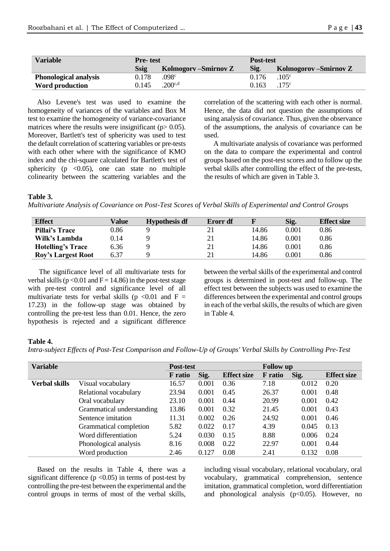| <b>Variable</b>              | <b>Pre-test</b> |                       | <b>Post-test</b> |                        |  |
|------------------------------|-----------------|-----------------------|------------------|------------------------|--|
|                              | <b>Ssig</b>     | Kolmogory – Smirnov Z | Sig.             | Kolmogorov – Smirnov Z |  |
| <b>Phonological analysis</b> | 0.178           | .098 <sup>c</sup>     | 0.176            | .105 <sup>c</sup>      |  |
| Word production              | 0.145           | .200 <sub>c,d</sub>   | 0.163            | .175 <sup>c</sup>      |  |

Also Levene's test was used to examine the homogeneity of variances of the variables and Box M test to examine the homogeneity of variance-covariance matrices where the results were insignificant ( $p$  > 0.05). Moreover, Bartlett's test of sphericity was used to test the default correlation of scattering variables or pre-tests with each other where with the significance of KMO index and the chi-square calculated for Bartlett's test of sphericity ( $p \le 0.05$ ), one can state no multiple colinearity between the scattering variables and the correlation of the scattering with each other is normal. Hence, the data did not question the assumptions of using analysis of covariance. Thus, given the observance of the assumptions, the analysis of covariance can be used.

A multivariate analysis of covariance was performed on the data to compare the experimental and control groups based on the post-test scores and to follow up the verbal skills after controlling the effect of the pre-tests, the results of which are given in Table 3.

#### **Table 3.**

*Multivariate Analysis of Covariance on Post-Test Scores of Verbal Skills of Experimental and Control Groups*

| <b>Effect</b>             | Value | <b>Hypothesis df</b> | Erorr df |       | Sig.  | <b>Effect size</b> |
|---------------------------|-------|----------------------|----------|-------|-------|--------------------|
| <b>Pillai's Trace</b>     | 0.86  |                      |          | 14.86 | 0.001 | 0.86               |
| Wilk's Lambda             | 0.14  |                      | 21       | 14.86 | 0.001 | 0.86               |
| <b>Hotelling's Trace</b>  | 6.36  |                      | 21       | 14.86 | 0.001 | 0.86               |
| <b>Roy's Largest Root</b> | 6.37  |                      | 21       | 14.86 | 0.001 | 0.86               |

The significance level of all multivariate tests for verbal skills ( $p < 0.01$  and  $F = 14.86$ ) in the post-test stage with pre-test control and significance level of all multivariate tests for verbal skills ( $p \le 0.01$  and  $F =$ 17.23) in the follow-up stage was obtained by controlling the pre-test less than 0.01. Hence, the zero hypothesis is rejected and a significant difference

between the verbal skills of the experimental and control groups is determined in post-test and follow-up. The effect test between the subjects was used to examine the differences between the experimental and control groups in each of the verbal skills, the results of which are given in Table 4.

#### **Table 4.**

*Intra-subject Effects of Post-Test Comparison and Follow-Up of Groups' Verbal Skills by Controlling Pre-Test*

| <b>Variable</b>      | Post-test                 |                |       | <b>Follow</b> up   |                |       |                    |
|----------------------|---------------------------|----------------|-------|--------------------|----------------|-------|--------------------|
|                      |                           | <b>F</b> ratio | Sig.  | <b>Effect size</b> | <b>F</b> ratio | Sig.  | <b>Effect size</b> |
| <b>Verbal skills</b> | Visual vocabulary         | 16.57          | 0.001 | 0.36               | 7.18           | 0.012 | 0.20               |
|                      | Relational vocabulary     | 23.94          | 0.001 | 0.45               | 26.37          | 0.001 | 0.48               |
|                      | Oral vocabulary           | 23.10          | 0.001 | 0.44               | 20.99          | 0.001 | 0.42               |
|                      | Grammatical understanding | 13.86          | 0.001 | 0.32               | 21.45          | 0.001 | 0.43               |
|                      | Sentence imitation        | 11.31          | 0.002 | 0.26               | 24.92          | 0.001 | 0.46               |
|                      | Grammatical completion    | 5.82           | 0.022 | 0.17               | 4.39           | 0.045 | 0.13               |
|                      | Word differentiation      | 5.24           | 0.030 | 0.15               | 8.88           | 0.006 | 0.24               |
|                      | Phonological analysis     | 8.16           | 0.008 | 0.22               | 22.97          | 0.001 | 0.44               |
|                      | Word production           | 2.46           | 0.127 | 0.08               | 2.41           | 0.132 | 0.08               |

Based on the results in Table 4, there was a significant difference  $(p < 0.05)$  in terms of post-test by controlling the pre-test between the experimental and the control groups in terms of most of the verbal skills, including visual vocabulary, relational vocabulary, oral vocabulary, grammatical comprehension, sentence imitation, grammatical completion, word differentiation and phonological analysis  $(p<0.05)$ . However, no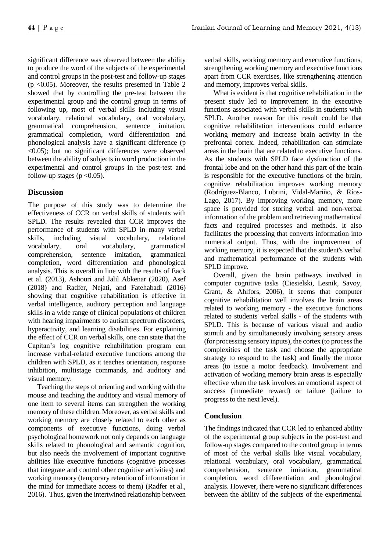significant difference was observed between the ability to produce the word of the subjects of the experimental and control groups in the post-test and follow-up stages  $(p \le 0.05)$ . Moreover, the results presented in Table 2 showed that by controlling the pre-test between the experimental group and the control group in terms of following up, most of verbal skills including visual vocabulary, relational vocabulary, oral vocabulary, grammatical comprehension, sentence imitation, grammatical completion, word differentiation and phonological analysis have a significant difference (p <0.05); but no significant differences were observed between the ability of subjects in word production in the experimental and control groups in the post-test and follow-up stages ( $p < 0.05$ ).

## **Discussion**

The purpose of this study was to determine the effectiveness of CCR on verbal skills of students with SPLD. The results revealed that CCR improves the performance of students with SPLD in many verbal skills, including visual vocabulary, relational vocabulary, oral vocabulary, grammatical comprehension, sentence imitation, grammatical completion, word differentiation and phonological analysis. This is overall in line with the results of Eack et al. (2013), Ashouri and Jalil Abkenar (2020), Asef (2018) and Radfer, Nejati, and Fatehabadi (2016) showing that cognitive rehabilitation is effective in verbal intelligence, auditory perception and language skills in a wide range of clinical populations of children with hearing impairments to autism spectrum disorders, hyperactivity, and learning disabilities. For explaining the effect of CCR on verbal skills, one can state that the Capitan's log cognitive rehabilitation program can increase verbal-related executive functions among the children with SPLD, as it teaches orientation, response inhibition, multistage commands, and auditory and visual memory.

Teaching the steps of orienting and working with the mouse and teaching the auditory and visual memory of one item to several items can strengthen the working memory of these children. Moreover, as verbal skills and working memory are closely related to each other as components of executive functions, doing verbal psychological homework not only depends on language skills related to phonological and semantic cognition, but also needs the involvement of important cognitive abilities like executive functions (cognitive processes that integrate and control other cognitive activities) and working memory (temporary retention of information in the mind for immediate access to them) (Radfer et al., 2016). Thus, given the intertwined relationship between verbal skills, working memory and executive functions, strengthening working memory and executive functions apart from CCR exercises, like strengthening attention and memory, improves verbal skills.

What is evident is that cognitive rehabilitation in the present study led to improvement in the executive functions associated with verbal skills in students with SPLD. Another reason for this result could be that cognitive rehabilitation interventions could enhance working memory and increase brain activity in the prefrontal cortex. Indeed, rehabilitation can stimulate areas in the brain that are related to executive functions. As the students with SPLD face dysfunction of the frontal lobe and on the other hand this part of the brain is responsible for the executive functions of the brain, cognitive rehabilitation improves working memory (Rodríguez-Blanco, Lubrini, Vidal-Mariño, & Ríos-Lago, 2017). By improving working memory, more space is provided for storing verbal and non-verbal information of the problem and retrieving mathematical facts and required processes and methods. It also facilitates the processing that converts information into numerical output. Thus, with the improvement of working memory, it is expected that the student's verbal and mathematical performance of the students with SPLD improve.

Overall, given the brain pathways involved in computer cognitive tasks (Ciesielski, Lesnik, Savoy, Grant, & Ahlfors, 2006), it seems that computer cognitive rehabilitation well involves the brain areas related to working memory - the executive functions related to students' verbal skills - of the students with SPLD. This is because of various visual and audio stimuli and by simultaneously involving sensory areas (for processing sensory inputs), the cortex (to process the complexities of the task and choose the appropriate strategy to respond to the task) and finally the motor areas (to issue a motor feedback). Involvement and activation of working memory brain areas is especially effective when the task involves an emotional aspect of success (immediate reward) or failure (failure to progress to the next level).

## **Conclusion**

The findings indicated that CCR led to enhanced ability of the experimental group subjects in the post-test and follow-up stages compared to the control group in terms of most of the verbal skills like visual vocabulary, relational vocabulary, oral vocabulary, grammatical comprehension, sentence imitation, grammatical completion, word differentiation and phonological analysis. However, there were no significant differences between the ability of the subjects of the experimental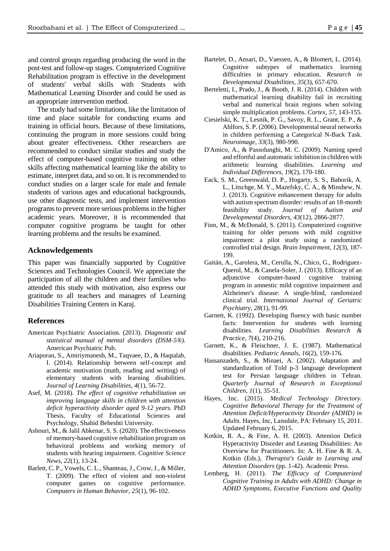and control groups regarding producing the word in the post-test and follow-up stages. Computerized Cognitive Rehabilitation program is effective in the development of students' verbal skills with Students with Mathematical Learning Disorder and could be used as an appropriate intervention method.

The study had some limitations, like the limitation of time and place suitable for conducting exams and training in official hours. Because of these limitations, continuing the program in more sessions could bring about greater effectiveness. Other researchers are recommended to conduct similar studies and study the effect of computer-based cognitive training on other skills affecting mathematical learning like the ability to estimate, interpret data, and so on. It is recommended to conduct studies on a larger scale for male and female students of various ages and educational backgrounds, use other diagnostic tests, and implement intervention programs to prevent more serious problems in the higher academic years. Moreover, it is recommended that computer cognitive programs be taught for other learning problems and the results be examined.

#### **Acknowledgements**

This paper was financially supported by Cognitive Sciences and Technologies Council. We appreciate the participation of all the children and their families who attended this study with motivation, also express our gratitude to all teachers and managers of Learning Disabilities Training Centers in Karaj.

#### **References**

- American Psychiatric Association. (2013). *Diagnostic and statistical manual of mental disorders (DSM-5®).* American Psychiatric Pub.
- Ariaporan, S., Amiriymanesh, M., Taqvaee, D., & Haqtalab, I. (2014). Relationship between self-concept and academic motivation (math, reading and writing) of elementary students with learning disabilities. *Journal of Learning Disabilities*, *4*(1), 56-72.
- Asef, M. (2018). *The effect of cognitive rehabilitation on improving language skills in children with attention deficit hyperactivity disorder aged 9-12 years.* PhD Thesis, Faculty of Educational Sciences and Psychology, Shahid Beheshti University.
- Ashouri, M., & Jalil Abkenar, S. S. (2020). The effectiveness of memory-based cognitive rehabilitation program on behavioral problems and working memory of students with hearing impairment. *Cognitive Science News*, *22*(1), 13-24.
- Barlett, C. P., Vowels, C. L., Shanteau, J., Crow, J., & Miller, T. (2009). The effect of violent and non-violent computer games on cognitive performance. *Computers in Human Behavior*, *25*(1), 96-102.
- Bartelet, D., Ansari, D., Vaessen, A., & Blomert, L. (2014). Cognitive subtypes of mathematics learning difficulties in primary education. *Research in Developmental Disabilities*, *35*(3), 657-670.
- Berteletti, I., Prado, J., & Booth, J. R. (2014). Children with mathematical learning disability fail in recruiting verbal and numerical brain regions when solving simple multiplication problems. *Cortex*, *57*, 143-155.
- Ciesielski, K. T., Lesnik, P. G., Savoy, R. L., Grant, E. P., & Ahlfors, S. P. (2006). Developmental neural networks in children performing a Categorical N-Back Task. *Neuroimage*, *33*(3), 980-990.
- D'Amico, A., & Passolunghi, M. C. (2009). Naming speed and effortful and automatic inhibition in children with arithmetic learning disabilities. *Learning and Individual Differences*, *19*(2), 170-180.
- Eack, S. M., Greenwald, D. P., Hogarty, S. S., Bahorik, A. L., Litschge, M. Y., Mazefsky, C. A., & Minshew, N. J. (2013). Cognitive enhancement therapy for adults with autism spectrum disorder: results of an 18-month feasibility study. *Journal of Autism and Developmental Disorders*, *43*(12), 2866-2877.
- Finn, M., & McDonald, S. (2011). Computerized cognitive training for older persons with mild cognitive impairment: a pilot study using a randomized controlled trial design. *Brain Impairment*, *12*(3), 187- 199.
- Gaitán, A., Garolera, M., Cerulla, N., Chico, G., Rodriguez-Querol, M., & Canela-Soler, J. (2013). Efficacy of an adjunctive computer-based cognitive training program in amnestic mild cognitive impairment and Alzheimer's disease: A single‐blind, randomized clinical trial. *International Journal of Geriatric Psychiatry*, *28*(1), 91-99.
- Garnett, K. (1992). Developing fluency with basic number facts: Intervention for students with learning disabilities. *Learning Disabilities Research & Practice*, *7*(4), 210-216.
- Garnett, K., & Fleischner, J. E. (1987). Mathematical disabilities. *Pediatric Annals*, *16*(2), 159-176.
- Hassanzadeh, S., & Minaei, A. (2002). Adaptation and standardization of Told p-3 language development test for Persian language children in Tehran. *Quarterly Journal of Research in Exceptional Children*, *1*(1), 35-51.
- Hayes, Inc. (2015). *Medical Technology Directory. Cognitive Behavioral Therapy for the Treatment of Attention Deficit/Hyperactivity Disorder (ADHD) in Adults.* Hayes, Inc, Lansdale, PA: February 15, 2011. Updated February 6, 2015.
- Kotkin, R. A., & Fine, A. H. (2003). Attention Deficit Hyperactivity Disorder and Leaning Disabilities: An Overview for Practitioners. In: A. H. Fine & R. A. Kotkin (Eds.), *Therapist's Guide to Learning and Attention Disorders* (pp. 1-42). Academic Press.
- Lemberg, H. (2011). *The Efficacy of Computerized Cognitive Training in Adults with ADHD: Change in ADHD Symptoms, Executive Functions and Quality*